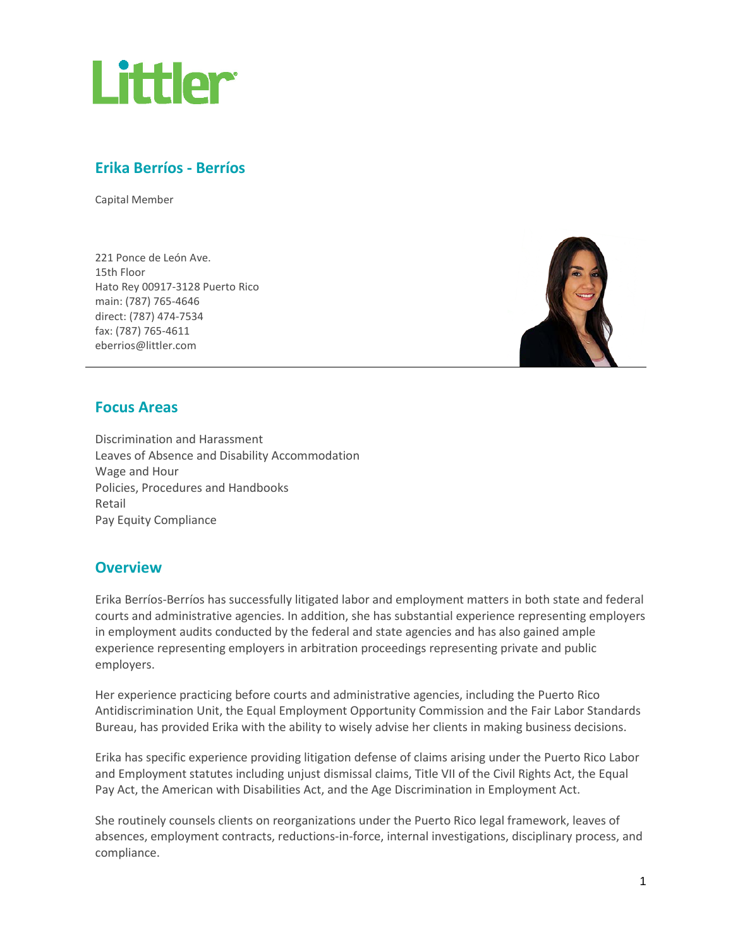

# **Erika Berríos - Berríos**

Capital Member

221 Ponce de León Ave. 15th Floor Hato Rey 00917-3128 Puerto Rico main: (787) 765-4646 direct: (787) 474-7534 fax: (787) 765-4611 [eberrios@littler.com](mailto:eberrios@littler.com)



# **Focus Areas**

Discrimination and Harassment Leaves of Absence and Disability Accommodation Wage and Hour Policies, Procedures and Handbooks Retail Pay Equity Compliance

# **Overview**

Erika Berríos-Berríos has successfully litigated labor and employment matters in both state and federal courts and administrative agencies. In addition, she has substantial experience representing employers in employment audits conducted by the federal and state agencies and has also gained ample experience representing employers in arbitration proceedings representing private and public employers.

Her experience practicing before courts and administrative agencies, including the Puerto Rico Antidiscrimination Unit, the Equal Employment Opportunity Commission and the Fair Labor Standards Bureau, has provided Erika with the ability to wisely advise her clients in making business decisions.

Erika has specific experience providing litigation defense of claims arising under the Puerto Rico Labor and Employment statutes including unjust dismissal claims, Title VII of the Civil Rights Act, the Equal Pay Act, the American with Disabilities Act, and the Age Discrimination in Employment Act.

She routinely counsels clients on reorganizations under the Puerto Rico legal framework, leaves of absences, employment contracts, reductions-in-force, internal investigations, disciplinary process, and compliance.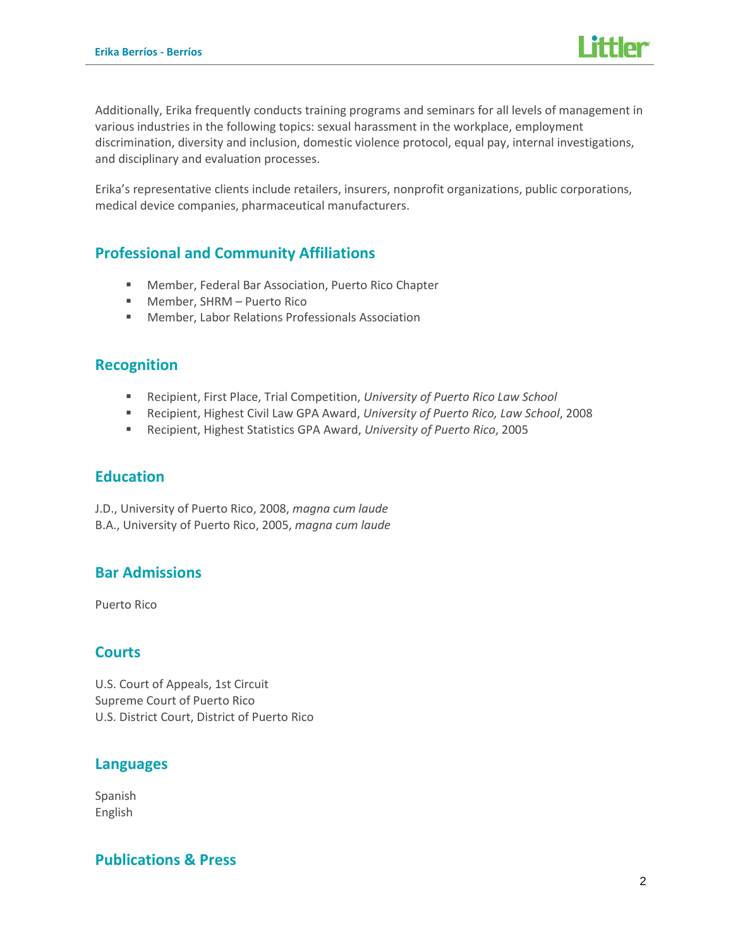

Additionally, Erika frequently conducts training programs and seminars for all levels of management in various industries in the following topics: sexual harassment in the workplace, employment discrimination, diversity and inclusion, domestic violence protocol, equal pay, internal investigations, and disciplinary and evaluation processes.

Erika's representative clients include retailers, insurers, nonprofit organizations, public corporations, medical device companies, pharmaceutical manufacturers.

# **Professional and Community Affiliations**

- Member, Federal Bar Association, Puerto Rico Chapter
- Member, SHRM Puerto Rico
- Member, Labor Relations Professionals Association

### **Recognition**

- Recipient, First Place, Trial Competition, *University of Puerto Rico Law School*
- Recipient, Highest Civil Law GPA Award, *University of Puerto Rico, Law School*, 2008
- Recipient, Highest Statistics GPA Award, *University of Puerto Rico*, 2005

# **Education**

J.D., University of Puerto Rico, 2008, *magna cum laude* B.A., University of Puerto Rico, 2005, *magna cum laude*

# **Bar Admissions**

Puerto Rico

# **Courts**

U.S. Court of Appeals, 1st Circuit Supreme Court of Puerto Rico U.S. District Court, District of Puerto Rico

# **Languages**

Spanish English

# **Publications & Press**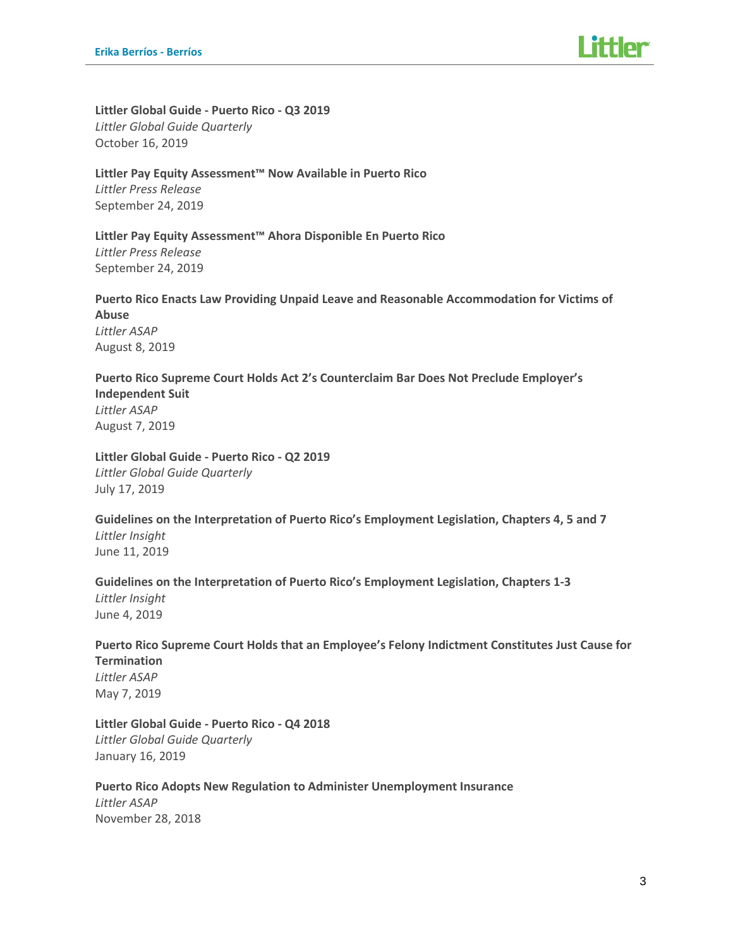**Littler Global Guide - Puerto Rico - Q3 2019** *Littler Global Guide Quarterly* October 16, 2019

#### **Littler Pay Equity Assessment™ Now Available in Puerto Rico**

*Littler Press Release* September 24, 2019

# **Littler Pay Equity Assessment™ Ahora Disponible En Puerto Rico**

*Littler Press Release* September 24, 2019

#### **Puerto Rico Enacts Law Providing Unpaid Leave and Reasonable Accommodation for Victims of Abuse** *Littler ASAP* August 8, 2019

#### **Puerto Rico Supreme Court Holds Act 2's Counterclaim Bar Does Not Preclude Employer's Independent Suit** *Littler ASAP* August 7, 2019

**Littler Global Guide - Puerto Rico - Q2 2019** *Littler Global Guide Quarterly* July 17, 2019

#### **Guidelines on the Interpretation of Puerto Rico's Employment Legislation, Chapters 4, 5 and 7** *Littler Insight* June 11, 2019

#### **Guidelines on the Interpretation of Puerto Rico's Employment Legislation, Chapters 1-3** *Littler Insight* June 4, 2019

#### **Puerto Rico Supreme Court Holds that an Employee's Felony Indictment Constitutes Just Cause for Termination** *Littler ASAP* May 7, 2019

**Littler Global Guide - Puerto Rico - Q4 2018** *Littler Global Guide Quarterly* January 16, 2019

#### **Puerto Rico Adopts New Regulation to Administer Unemployment Insurance** *Littler ASAP* November 28, 2018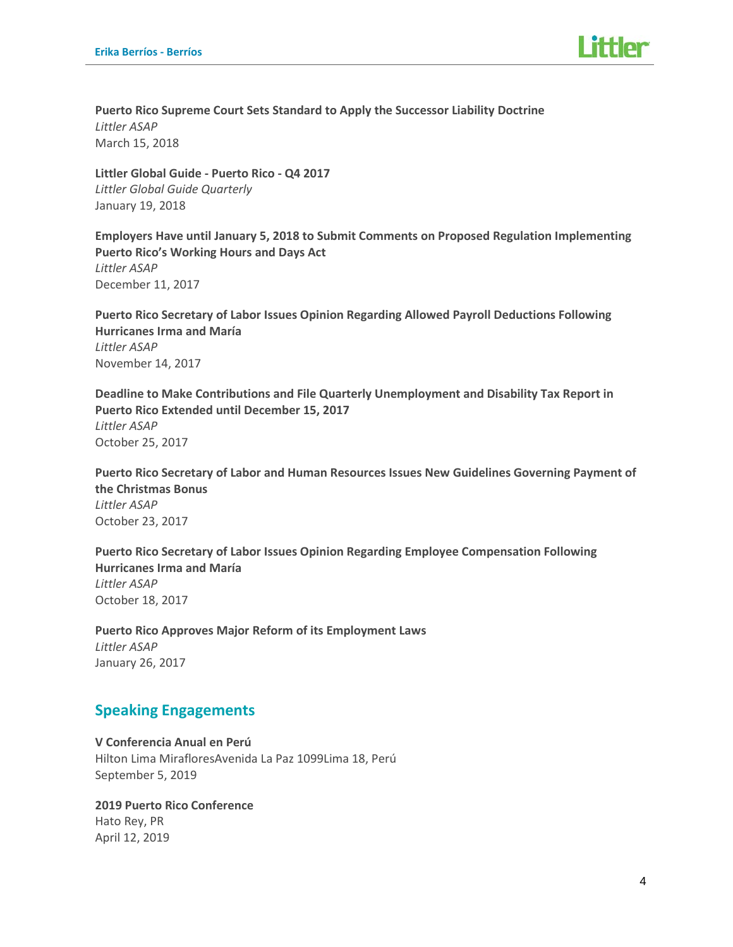**Puerto Rico Supreme Court Sets Standard to Apply the Successor Liability Doctrine** *Littler ASAP* March 15, 2018

**Littler Global Guide - Puerto Rico - Q4 2017** *Littler Global Guide Quarterly* January 19, 2018

**Employers Have until January 5, 2018 to Submit Comments on Proposed Regulation Implementing Puerto Rico's Working Hours and Days Act** *Littler ASAP* December 11, 2017

**Puerto Rico Secretary of Labor Issues Opinion Regarding Allowed Payroll Deductions Following Hurricanes Irma and María** *Littler ASAP* November 14, 2017

**Deadline to Make Contributions and File Quarterly Unemployment and Disability Tax Report in Puerto Rico Extended until December 15, 2017** *Littler ASAP* October 25, 2017

**Puerto Rico Secretary of Labor and Human Resources Issues New Guidelines Governing Payment of the Christmas Bonus**  *Littler ASAP* October 23, 2017

**Puerto Rico Secretary of Labor Issues Opinion Regarding Employee Compensation Following Hurricanes Irma and María** *Littler ASAP* October 18, 2017

**Puerto Rico Approves Major Reform of its Employment Laws** *Littler ASAP* January 26, 2017

# **Speaking Engagements**

**V Conferencia Anual en Perú** Hilton Lima MirafloresAvenida La Paz 1099Lima 18, Perú September 5, 2019

**2019 Puerto Rico Conference** Hato Rey, PR April 12, 2019